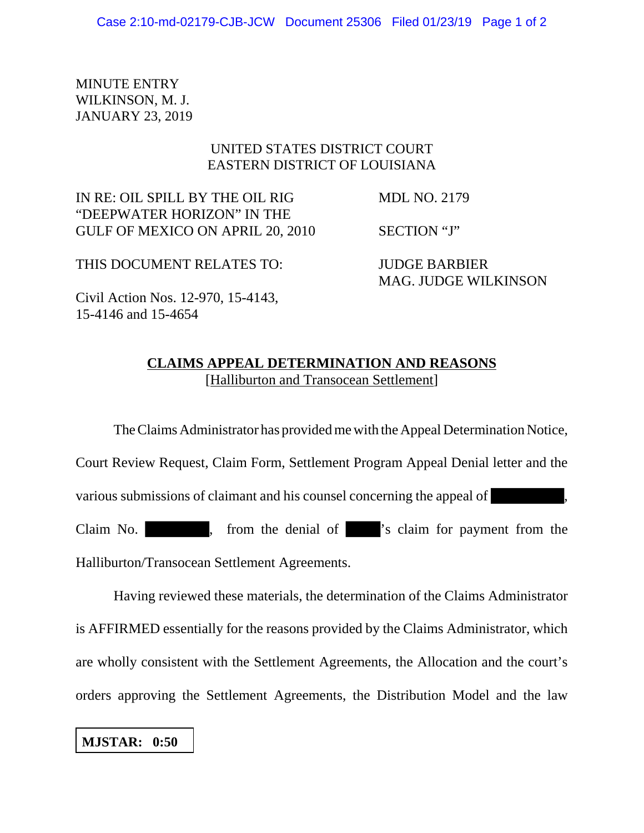MINUTE ENTRY WILKINSON, M. J. JANUARY 23, 2019

## UNITED STATES DISTRICT COURT EASTERN DISTRICT OF LOUISIANA

IN RE: OIL SPILL BY THE OIL RIG MDL NO. 2179 "DEEPWATER HORIZON" IN THE GULF OF MEXICO ON APRIL 20, 2010 SECTION "J"

THIS DOCUMENT RELATES TO: JUDGE BARBIER MAG. JUDGE WILKINSON

Civil Action Nos. 12-970, 15-4143, 15-4146 and 15-4654

## **CLAIMS APPEAL DETERMINATION AND REASONS** [Halliburton and Transocean Settlement]

The Claims Administrator has provided me with the Appeal Determination Notice, Court Review Request, Claim Form, Settlement Program Appeal Denial letter and the various submissions of claimant and his counsel concerning the appeal of , Claim No.  $\blacksquare$ , from the denial of  $\blacksquare$ 's claim for payment from the Halliburton/Transocean Settlement Agreements.

Having reviewed these materials, the determination of the Claims Administrator is AFFIRMED essentially for the reasons provided by the Claims Administrator, which are wholly consistent with the Settlement Agreements, the Allocation and the court's orders approving the Settlement Agreements, the Distribution Model and the law

**MJSTAR: 0:50**